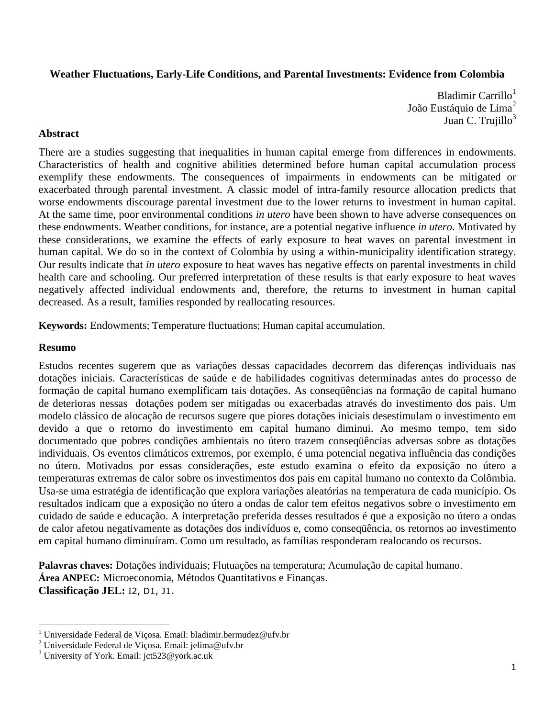# **Weather Fluctuations, Early-Life Conditions, and Parental Investments: Evidence from Colombia**

Bladimir Carrillo $<sup>1</sup>$ </sup> João Eustáquio de Lima $2$ Juan C. Trujillo $3$ 

## **Abstract**

There are a studies suggesting that inequalities in human capital emerge from differences in endowments. Characteristics of health and cognitive abilities determined before human capital accumulation process exemplify these endowments. The consequences of impairments in endowments can be mitigated or exacerbated through parental investment. A classic model of intra-family resource allocation predicts that worse endowments discourage parental investment due to the lower returns to investment in human capital. At the same time, poor environmental conditions *in utero* have been shown to have adverse consequences on these endowments. Weather conditions, for instance, are a potential negative influence *in utero*. Motivated by these considerations, we examine the effects of early exposure to heat waves on parental investment in human capital. We do so in the context of Colombia by using a within-municipality identification strategy. Our results indicate that *in utero* exposure to heat waves has negative effects on parental investments in child health care and schooling. Our preferred interpretation of these results is that early exposure to heat waves negatively affected individual endowments and, therefore, the returns to investment in human capital decreased. As a result, families responded by reallocating resources.

**Keywords:** Endowments; Temperature fluctuations; Human capital accumulation.

## **Resumo**

 $\overline{a}$ 

Estudos recentes sugerem que as variações dessas capacidades decorrem das diferenças individuais nas dotações iniciais. Características de saúde e de habilidades cognitivas determinadas antes do processo de formação de capital humano exemplificam tais dotações. As conseqüências na formação de capital humano de deterioras nessas dotações podem ser mitigadas ou exacerbadas através do investimento dos pais. Um modelo clássico de alocação de recursos sugere que piores dotações iniciais desestimulam o investimento em devido a que o retorno do investimento em capital humano diminui. Ao mesmo tempo, tem sido documentado que pobres condições ambientais no útero trazem conseqüências adversas sobre as dotações individuais. Os eventos climáticos extremos, por exemplo, é uma potencial negativa influência das condições no útero. Motivados por essas considerações, este estudo examina o efeito da exposição no útero a temperaturas extremas de calor sobre os investimentos dos pais em capital humano no contexto da Colômbia. Usa-se uma estratégia de identificação que explora variações aleatórias na temperatura de cada município. Os resultados indicam que a exposição no útero a ondas de calor tem efeitos negativos sobre o investimento em cuidado de saúde e educação. A interpretação preferida desses resultados é que a exposição no útero a ondas de calor afetou negativamente as dotações dos indivíduos e, como conseqüência, os retornos ao investimento em capital humano diminuíram. Como um resultado, as famílias responderam realocando os recursos.

**Palavras chaves:** Dotações individuais; Flutuações na temperatura; Acumulação de capital humano. **Área ANPEC:** Microeconomia, Métodos Quantitativos e Finanças. **Classificação JEL:** I2, D1, J1.

<sup>&</sup>lt;sup>1</sup> Universidade Federal de Viçosa. Email: bladimir.bermudez@ufv.br

<sup>&</sup>lt;sup>2</sup> Universidade Federal de Viçosa. Email: jelima@ufv.br

<sup>3</sup> University of York. Email: jct523@york.ac.uk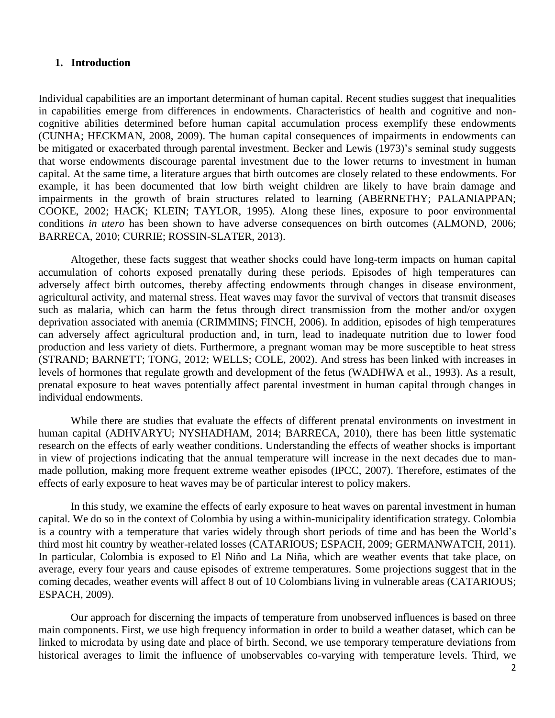### **1. Introduction**

Individual capabilities are an important determinant of human capital. Recent studies suggest that inequalities in capabilities emerge from differences in endowments. Characteristics of health and cognitive and noncognitive abilities determined before human capital accumulation process exemplify these endowments (CUNHA; HECKMAN, 2008, 2009). The human capital consequences of impairments in endowments can be mitigated or exacerbated through parental investment. Becker and Lewis (1973)'s seminal study suggests that worse endowments discourage parental investment due to the lower returns to investment in human capital. At the same time, a literature argues that birth outcomes are closely related to these endowments. For example, it has been documented that low birth weight children are likely to have brain damage and impairments in the growth of brain structures related to learning (ABERNETHY; PALANIAPPAN; COOKE, 2002; HACK; KLEIN; TAYLOR, 1995). Along these lines, exposure to poor environmental conditions *in utero* has been shown to have adverse consequences on birth outcomes (ALMOND, 2006; BARRECA, 2010; CURRIE; ROSSIN-SLATER, 2013).

Altogether, these facts suggest that weather shocks could have long-term impacts on human capital accumulation of cohorts exposed prenatally during these periods. Episodes of high temperatures can adversely affect birth outcomes, thereby affecting endowments through changes in disease environment, agricultural activity, and maternal stress. Heat waves may favor the survival of vectors that transmit diseases such as malaria, which can harm the fetus through direct transmission from the mother and/or oxygen deprivation associated with anemia (CRIMMINS; FINCH, 2006). In addition, episodes of high temperatures can adversely affect agricultural production and, in turn, lead to inadequate nutrition due to lower food production and less variety of diets. Furthermore, a pregnant woman may be more susceptible to heat stress (STRAND; BARNETT; TONG, 2012; WELLS; COLE, 2002). And stress has been linked with increases in levels of hormones that regulate growth and development of the fetus (WADHWA et al., 1993). As a result, prenatal exposure to heat waves potentially affect parental investment in human capital through changes in individual endowments.

While there are studies that evaluate the effects of different prenatal environments on investment in human capital (ADHVARYU; NYSHADHAM, 2014; BARRECA, 2010), there has been little systematic research on the effects of early weather conditions. Understanding the effects of weather shocks is important in view of projections indicating that the annual temperature will increase in the next decades due to manmade pollution, making more frequent extreme weather episodes (IPCC, 2007). Therefore, estimates of the effects of early exposure to heat waves may be of particular interest to policy makers.

In this study, we examine the effects of early exposure to heat waves on parental investment in human capital. We do so in the context of Colombia by using a within-municipality identification strategy. Colombia is a country with a temperature that varies widely through short periods of time and has been the World's third most hit country by weather-related losses (CATARIOUS; ESPACH, 2009; GERMANWATCH, 2011). In particular, Colombia is exposed to El Niño and La Niña, which are weather events that take place, on average, every four years and cause episodes of extreme temperatures. Some projections suggest that in the coming decades, weather events will affect 8 out of 10 Colombians living in vulnerable areas (CATARIOUS; ESPACH, 2009).

Our approach for discerning the impacts of temperature from unobserved influences is based on three main components. First, we use high frequency information in order to build a weather dataset, which can be linked to microdata by using date and place of birth. Second, we use temporary temperature deviations from historical averages to limit the influence of unobservables co-varying with temperature levels. Third, we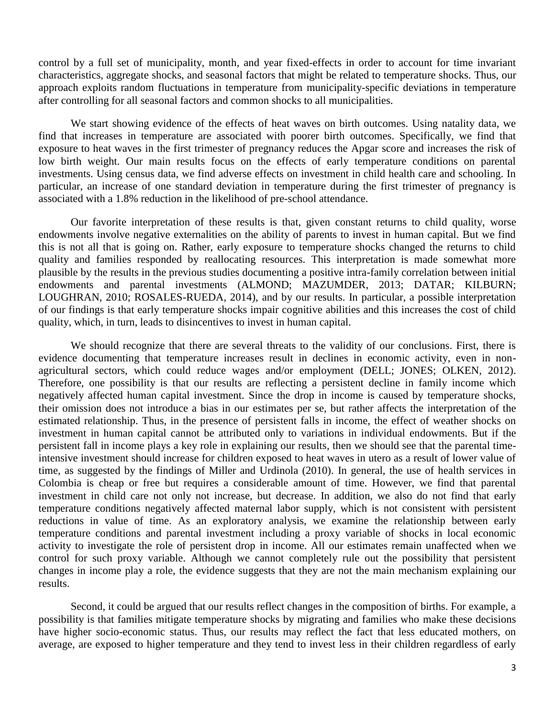control by a full set of municipality, month, and year fixed-effects in order to account for time invariant characteristics, aggregate shocks, and seasonal factors that might be related to temperature shocks. Thus, our approach exploits random fluctuations in temperature from municipality-specific deviations in temperature after controlling for all seasonal factors and common shocks to all municipalities.

We start showing evidence of the effects of heat waves on birth outcomes. Using natality data, we find that increases in temperature are associated with poorer birth outcomes. Specifically, we find that exposure to heat waves in the first trimester of pregnancy reduces the Apgar score and increases the risk of low birth weight. Our main results focus on the effects of early temperature conditions on parental investments. Using census data, we find adverse effects on investment in child health care and schooling. In particular, an increase of one standard deviation in temperature during the first trimester of pregnancy is associated with a 1.8% reduction in the likelihood of pre-school attendance.

Our favorite interpretation of these results is that, given constant returns to child quality, worse endowments involve negative externalities on the ability of parents to invest in human capital. But we find this is not all that is going on. Rather, early exposure to temperature shocks changed the returns to child quality and families responded by reallocating resources. This interpretation is made somewhat more plausible by the results in the previous studies documenting a positive intra-family correlation between initial endowments and parental investments (ALMOND; MAZUMDER, 2013; DATAR; KILBURN; LOUGHRAN, 2010; ROSALES-RUEDA, 2014), and by our results. In particular, a possible interpretation of our findings is that early temperature shocks impair cognitive abilities and this increases the cost of child quality, which, in turn, leads to disincentives to invest in human capital.

We should recognize that there are several threats to the validity of our conclusions. First, there is evidence documenting that temperature increases result in declines in economic activity, even in nonagricultural sectors, which could reduce wages and/or employment (DELL; JONES; OLKEN, 2012). Therefore, one possibility is that our results are reflecting a persistent decline in family income which negatively affected human capital investment. Since the drop in income is caused by temperature shocks, their omission does not introduce a bias in our estimates per se, but rather affects the interpretation of the estimated relationship. Thus, in the presence of persistent falls in income, the effect of weather shocks on investment in human capital cannot be attributed only to variations in individual endowments. But if the persistent fall in income plays a key role in explaining our results, then we should see that the parental timeintensive investment should increase for children exposed to heat waves in utero as a result of lower value of time, as suggested by the findings of Miller and Urdinola (2010). In general, the use of health services in Colombia is cheap or free but requires a considerable amount of time. However, we find that parental investment in child care not only not increase, but decrease. In addition, we also do not find that early temperature conditions negatively affected maternal labor supply, which is not consistent with persistent reductions in value of time. As an exploratory analysis, we examine the relationship between early temperature conditions and parental investment including a proxy variable of shocks in local economic activity to investigate the role of persistent drop in income. All our estimates remain unaffected when we control for such proxy variable. Although we cannot completely rule out the possibility that persistent changes in income play a role, the evidence suggests that they are not the main mechanism explaining our results.

Second, it could be argued that our results reflect changes in the composition of births. For example, a possibility is that families mitigate temperature shocks by migrating and families who make these decisions have higher socio-economic status. Thus, our results may reflect the fact that less educated mothers, on average, are exposed to higher temperature and they tend to invest less in their children regardless of early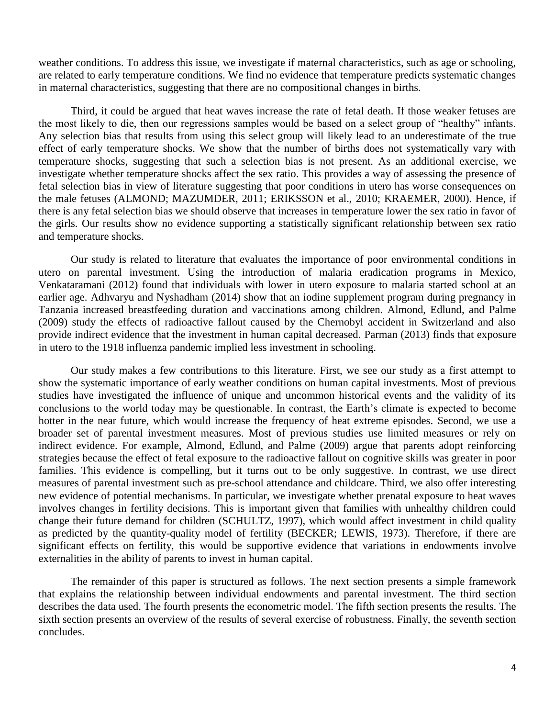weather conditions. To address this issue, we investigate if maternal characteristics, such as age or schooling, are related to early temperature conditions. We find no evidence that temperature predicts systematic changes in maternal characteristics, suggesting that there are no compositional changes in births.

Third, it could be argued that heat waves increase the rate of fetal death. If those weaker fetuses are the most likely to die, then our regressions samples would be based on a select group of "healthy" infants. Any selection bias that results from using this select group will likely lead to an underestimate of the true effect of early temperature shocks. We show that the number of births does not systematically vary with temperature shocks, suggesting that such a selection bias is not present. As an additional exercise, we investigate whether temperature shocks affect the sex ratio. This provides a way of assessing the presence of fetal selection bias in view of literature suggesting that poor conditions in utero has worse consequences on the male fetuses (ALMOND; MAZUMDER, 2011; ERIKSSON et al., 2010; KRAEMER, 2000). Hence, if there is any fetal selection bias we should observe that increases in temperature lower the sex ratio in favor of the girls. Our results show no evidence supporting a statistically significant relationship between sex ratio and temperature shocks.

Our study is related to literature that evaluates the importance of poor environmental conditions in utero on parental investment. Using the introduction of malaria eradication programs in Mexico, Venkataramani (2012) found that individuals with lower in utero exposure to malaria started school at an earlier age. Adhvaryu and Nyshadham (2014) show that an iodine supplement program during pregnancy in Tanzania increased breastfeeding duration and vaccinations among children. Almond, Edlund, and Palme (2009) study the effects of radioactive fallout caused by the Chernobyl accident in Switzerland and also provide indirect evidence that the investment in human capital decreased. Parman (2013) finds that exposure in utero to the 1918 influenza pandemic implied less investment in schooling.

Our study makes a few contributions to this literature. First, we see our study as a first attempt to show the systematic importance of early weather conditions on human capital investments. Most of previous studies have investigated the influence of unique and uncommon historical events and the validity of its conclusions to the world today may be questionable. In contrast, the Earth's climate is expected to become hotter in the near future, which would increase the frequency of heat extreme episodes. Second, we use a broader set of parental investment measures. Most of previous studies use limited measures or rely on indirect evidence. For example, Almond, Edlund, and Palme (2009) argue that parents adopt reinforcing strategies because the effect of fetal exposure to the radioactive fallout on cognitive skills was greater in poor families. This evidence is compelling, but it turns out to be only suggestive. In contrast, we use direct measures of parental investment such as pre-school attendance and childcare. Third, we also offer interesting new evidence of potential mechanisms. In particular, we investigate whether prenatal exposure to heat waves involves changes in fertility decisions. This is important given that families with unhealthy children could change their future demand for children (SCHULTZ, 1997), which would affect investment in child quality as predicted by the quantity-quality model of fertility (BECKER; LEWIS, 1973). Therefore, if there are significant effects on fertility, this would be supportive evidence that variations in endowments involve externalities in the ability of parents to invest in human capital.

The remainder of this paper is structured as follows. The next section presents a simple framework that explains the relationship between individual endowments and parental investment. The third section describes the data used. The fourth presents the econometric model. The fifth section presents the results. The sixth section presents an overview of the results of several exercise of robustness. Finally, the seventh section concludes.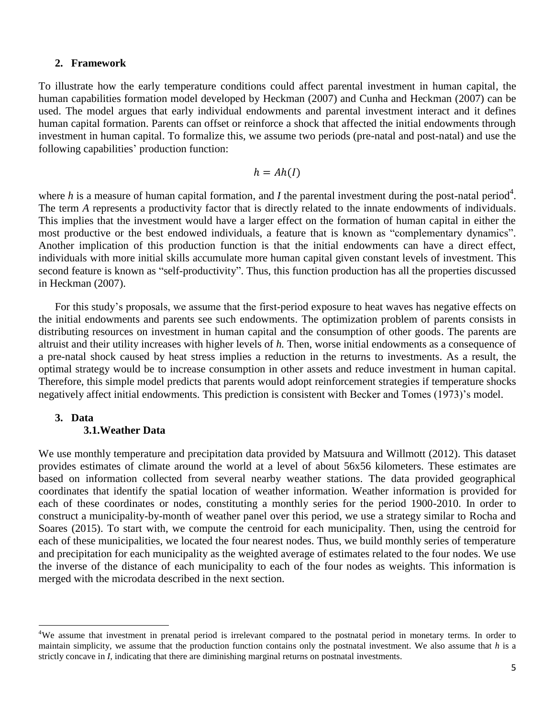## **2. Framework**

To illustrate how the early temperature conditions could affect parental investment in human capital, the human capabilities formation model developed by Heckman (2007) and Cunha and Heckman (2007) can be used. The model argues that early individual endowments and parental investment interact and it defines human capital formation. Parents can offset or reinforce a shock that affected the initial endowments through investment in human capital. To formalize this, we assume two periods (pre-natal and post-natal) and use the following capabilities' production function:

$$
h = Ah(I)
$$

where  $h$  is a measure of human capital formation, and  $I$  the parental investment during the post-natal period<sup>4</sup>. The term *A* represents a productivity factor that is directly related to the innate endowments of individuals. This implies that the investment would have a larger effect on the formation of human capital in either the most productive or the best endowed individuals, a feature that is known as "complementary dynamics". Another implication of this production function is that the initial endowments can have a direct effect, individuals with more initial skills accumulate more human capital given constant levels of investment. This second feature is known as "self-productivity". Thus, this function production has all the properties discussed in Heckman (2007).

For this study's proposals, we assume that the first-period exposure to heat waves has negative effects on the initial endowments and parents see such endowments. The optimization problem of parents consists in distributing resources on investment in human capital and the consumption of other goods. The parents are altruist and their utility increases with higher levels of *h.* Then, worse initial endowments as a consequence of a pre-natal shock caused by heat stress implies a reduction in the returns to investments. As a result, the optimal strategy would be to increase consumption in other assets and reduce investment in human capital. Therefore, this simple model predicts that parents would adopt reinforcement strategies if temperature shocks negatively affect initial endowments. This prediction is consistent with Becker and Tomes (1973)'s model.

### **3. Data 3.1.Weather Data**

 $\overline{a}$ 

We use monthly temperature and precipitation data provided by Matsuura and Willmott (2012). This dataset provides estimates of climate around the world at a level of about 56x56 kilometers. These estimates are based on information collected from several nearby weather stations. The data provided geographical coordinates that identify the spatial location of weather information. Weather information is provided for each of these coordinates or nodes, constituting a monthly series for the period 1900-2010. In order to construct a municipality-by-month of weather panel over this period, we use a strategy similar to Rocha and Soares (2015). To start with, we compute the centroid for each municipality. Then, using the centroid for each of these municipalities, we located the four nearest nodes. Thus, we build monthly series of temperature and precipitation for each municipality as the weighted average of estimates related to the four nodes. We use the inverse of the distance of each municipality to each of the four nodes as weights. This information is merged with the microdata described in the next section.

<sup>&</sup>lt;sup>4</sup>We assume that investment in prenatal period is irrelevant compared to the postnatal period in monetary terms. In order to maintain simplicity, we assume that the production function contains only the postnatal investment. We also assume that *h* is a strictly concave in *I*, indicating that there are diminishing marginal returns on postnatal investments.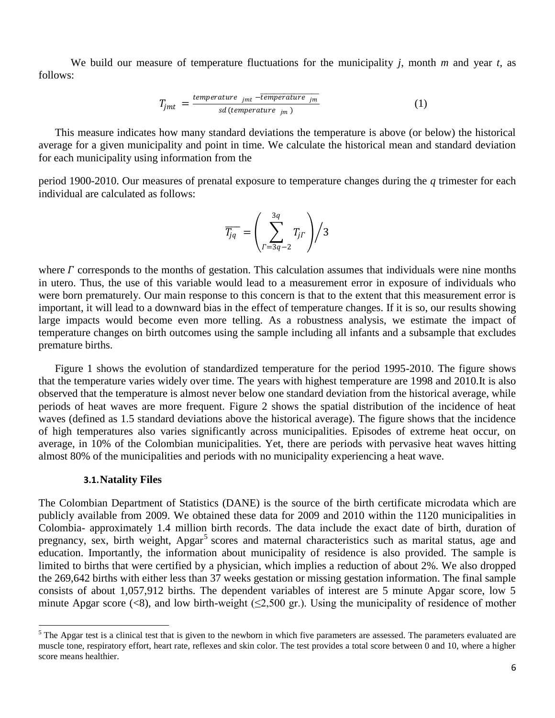We build our measure of temperature fluctuations for the municipality *j*, month *m* and year *t*, as follows:

$$
T_{jmt} = \frac{temperature_{jmt} - \overline{temperature_{jm}}}{sd(temperature_{jm})}
$$
 (1)

This measure indicates how many standard deviations the temperature is above (or below) the historical average for a given municipality and point in time. We calculate the historical mean and standard deviation for each municipality using information from the

period 1900-2010. Our measures of prenatal exposure to temperature changes during the *q* trimester for each individual are calculated as follows:

$$
\overline{T_{jq}} = \left(\sum_{\Gamma=3q-2}^{3q} T_{j\Gamma}\right)/3
$$

where  $\Gamma$  corresponds to the months of gestation. This calculation assumes that individuals were nine months in utero. Thus, the use of this variable would lead to a measurement error in exposure of individuals who were born prematurely. Our main response to this concern is that to the extent that this measurement error is important, it will lead to a downward bias in the effect of temperature changes. If it is so, our results showing large impacts would become even more telling. As a robustness analysis, we estimate the impact of temperature changes on birth outcomes using the sample including all infants and a subsample that excludes premature births.

Figure 1 shows the evolution of standardized temperature for the period 1995-2010. The figure shows that the temperature varies widely over time. The years with highest temperature are 1998 and 2010.It is also observed that the temperature is almost never below one standard deviation from the historical average, while periods of heat waves are more frequent. Figure 2 shows the spatial distribution of the incidence of heat waves (defined as 1.5 standard deviations above the historical average). The figure shows that the incidence of high temperatures also varies significantly across municipalities. Episodes of extreme heat occur, on average, in 10% of the Colombian municipalities. Yet, there are periods with pervasive heat waves hitting almost 80% of the municipalities and periods with no municipality experiencing a heat wave.

#### **3.1.Natality Files**

 $\overline{a}$ 

The Colombian Department of Statistics (DANE) is the source of the birth certificate microdata which are publicly available from 2009. We obtained these data for 2009 and 2010 within the 1120 municipalities in Colombia- approximately 1.4 million birth records. The data include the exact date of birth, duration of pregnancy, sex, birth weight, Apgar<sup>5</sup> scores and maternal characteristics such as marital status, age and education. Importantly, the information about municipality of residence is also provided. The sample is limited to births that were certified by a physician, which implies a reduction of about 2%. We also dropped the 269,642 births with either less than 37 weeks gestation or missing gestation information. The final sample consists of about 1,057,912 births. The dependent variables of interest are 5 minute Apgar score, low 5 minute Apgar score (<8), and low birth-weight ( $\leq$ 2,500 gr.). Using the municipality of residence of mother

 $<sup>5</sup>$  The Apgar test is a clinical test that is given to the newborn in which five parameters are assessed. The parameters evaluated are</sup> muscle tone, respiratory effort, heart rate, reflexes and skin color. The test provides a total score between 0 and 10, where a higher score means healthier.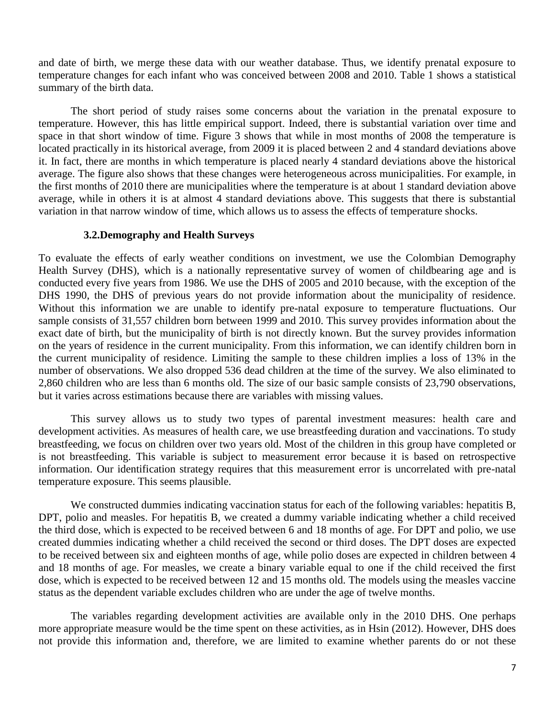and date of birth, we merge these data with our weather database. Thus, we identify prenatal exposure to temperature changes for each infant who was conceived between 2008 and 2010. Table 1 shows a statistical summary of the birth data.

The short period of study raises some concerns about the variation in the prenatal exposure to temperature. However, this has little empirical support. Indeed, there is substantial variation over time and space in that short window of time. Figure 3 shows that while in most months of 2008 the temperature is located practically in its historical average, from 2009 it is placed between 2 and 4 standard deviations above it. In fact, there are months in which temperature is placed nearly 4 standard deviations above the historical average. The figure also shows that these changes were heterogeneous across municipalities. For example, in the first months of 2010 there are municipalities where the temperature is at about 1 standard deviation above average, while in others it is at almost 4 standard deviations above. This suggests that there is substantial variation in that narrow window of time, which allows us to assess the effects of temperature shocks.

## **3.2.Demography and Health Surveys**

To evaluate the effects of early weather conditions on investment, we use the Colombian Demography Health Survey (DHS), which is a nationally representative survey of women of childbearing age and is conducted every five years from 1986. We use the DHS of 2005 and 2010 because, with the exception of the DHS 1990, the DHS of previous years do not provide information about the municipality of residence. Without this information we are unable to identify pre-natal exposure to temperature fluctuations. Our sample consists of 31,557 children born between 1999 and 2010. This survey provides information about the exact date of birth, but the municipality of birth is not directly known. But the survey provides information on the years of residence in the current municipality. From this information, we can identify children born in the current municipality of residence. Limiting the sample to these children implies a loss of 13% in the number of observations. We also dropped 536 dead children at the time of the survey. We also eliminated to 2,860 children who are less than 6 months old. The size of our basic sample consists of 23,790 observations, but it varies across estimations because there are variables with missing values.

This survey allows us to study two types of parental investment measures: health care and development activities. As measures of health care, we use breastfeeding duration and vaccinations. To study breastfeeding, we focus on children over two years old. Most of the children in this group have completed or is not breastfeeding. This variable is subject to measurement error because it is based on retrospective information. Our identification strategy requires that this measurement error is uncorrelated with pre-natal temperature exposure. This seems plausible.

We constructed dummies indicating vaccination status for each of the following variables: hepatitis B, DPT, polio and measles. For hepatitis B, we created a dummy variable indicating whether a child received the third dose, which is expected to be received between 6 and 18 months of age. For DPT and polio, we use created dummies indicating whether a child received the second or third doses. The DPT doses are expected to be received between six and eighteen months of age, while polio doses are expected in children between 4 and 18 months of age. For measles, we create a binary variable equal to one if the child received the first dose, which is expected to be received between 12 and 15 months old. The models using the measles vaccine status as the dependent variable excludes children who are under the age of twelve months.

The variables regarding development activities are available only in the 2010 DHS. One perhaps more appropriate measure would be the time spent on these activities, as in Hsin (2012). However, DHS does not provide this information and, therefore, we are limited to examine whether parents do or not these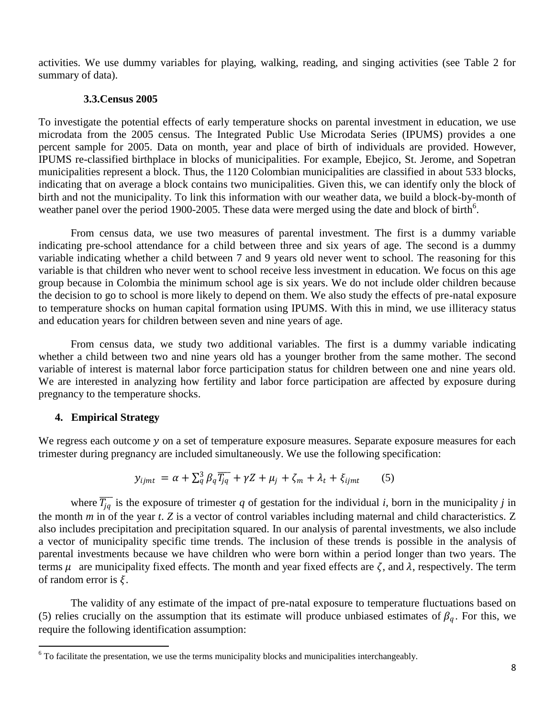activities. We use dummy variables for playing, walking, reading, and singing activities (see Table 2 for summary of data).

## **3.3.Census 2005**

To investigate the potential effects of early temperature shocks on parental investment in education, we use microdata from the 2005 census. The Integrated Public Use Microdata Series (IPUMS) provides a one percent sample for 2005. Data on month, year and place of birth of individuals are provided. However, IPUMS re-classified birthplace in blocks of municipalities. For example, Ebejico, St. Jerome, and Sopetran municipalities represent a block. Thus, the 1120 Colombian municipalities are classified in about 533 blocks, indicating that on average a block contains two municipalities. Given this, we can identify only the block of birth and not the municipality. To link this information with our weather data, we build a block-by-month of weather panel over the period 1900-2005. These data were merged using the date and block of birth<sup>6</sup>.

From census data, we use two measures of parental investment. The first is a dummy variable indicating pre-school attendance for a child between three and six years of age. The second is a dummy variable indicating whether a child between 7 and 9 years old never went to school. The reasoning for this variable is that children who never went to school receive less investment in education. We focus on this age group because in Colombia the minimum school age is six years. We do not include older children because the decision to go to school is more likely to depend on them. We also study the effects of pre-natal exposure to temperature shocks on human capital formation using IPUMS. With this in mind, we use illiteracy status and education years for children between seven and nine years of age.

From census data, we study two additional variables. The first is a dummy variable indicating whether a child between two and nine years old has a younger brother from the same mother. The second variable of interest is maternal labor force participation status for children between one and nine years old. We are interested in analyzing how fertility and labor force participation are affected by exposure during pregnancy to the temperature shocks.

## **4. Empirical Strategy**

 $\overline{a}$ 

We regress each outcome  $y$  on a set of temperature exposure measures. Separate exposure measures for each trimester during pregnancy are included simultaneously. We use the following specification:

$$
y_{ijmt} = \alpha + \sum_{q}^{3} \beta_q \overline{T_{jq}} + \gamma Z + \mu_j + \zeta_m + \lambda_t + \xi_{ijmt}
$$
 (5)

where  $\overline{T_{jq}}$  is the exposure of trimester *q* of gestation for the individual *i*, born in the municipality *j* in the month *m* in of the year *t*. *Z* is a vector of control variables including maternal and child characteristics. Z also includes precipitation and precipitation squared. In our analysis of parental investments, we also include a vector of municipality specific time trends. The inclusion of these trends is possible in the analysis of parental investments because we have children who were born within a period longer than two years. The terms  $\mu$  are municipality fixed effects. The month and year fixed effects are  $\zeta$ , and  $\lambda$ , respectively. The term of random error is  $\xi$ .

The validity of any estimate of the impact of pre-natal exposure to temperature fluctuations based on (5) relies crucially on the assumption that its estimate will produce unbiased estimates of  $\beta_q$ . For this, we require the following identification assumption:

 $6$  To facilitate the presentation, we use the terms municipality blocks and municipalities interchangeably.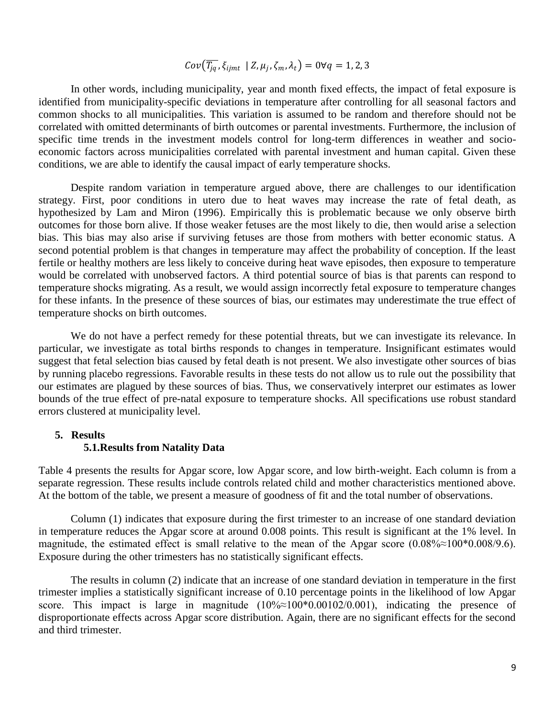# $Cov(\overline{T_{jq}}, \xi_{ijmt} \mid Z, \mu_j, \zeta_m, \lambda_t) = 0 \forall q = 1, 2, 3$

In other words, including municipality, year and month fixed effects, the impact of fetal exposure is identified from municipality-specific deviations in temperature after controlling for all seasonal factors and common shocks to all municipalities. This variation is assumed to be random and therefore should not be correlated with omitted determinants of birth outcomes or parental investments. Furthermore, the inclusion of specific time trends in the investment models control for long-term differences in weather and socioeconomic factors across municipalities correlated with parental investment and human capital. Given these conditions, we are able to identify the causal impact of early temperature shocks.

Despite random variation in temperature argued above, there are challenges to our identification strategy. First, poor conditions in utero due to heat waves may increase the rate of fetal death, as hypothesized by Lam and Miron (1996). Empirically this is problematic because we only observe birth outcomes for those born alive. If those weaker fetuses are the most likely to die, then would arise a selection bias. This bias may also arise if surviving fetuses are those from mothers with better economic status. A second potential problem is that changes in temperature may affect the probability of conception. If the least fertile or healthy mothers are less likely to conceive during heat wave episodes, then exposure to temperature would be correlated with unobserved factors. A third potential source of bias is that parents can respond to temperature shocks migrating. As a result, we would assign incorrectly fetal exposure to temperature changes for these infants. In the presence of these sources of bias, our estimates may underestimate the true effect of temperature shocks on birth outcomes.

We do not have a perfect remedy for these potential threats, but we can investigate its relevance. In particular, we investigate as total births responds to changes in temperature. Insignificant estimates would suggest that fetal selection bias caused by fetal death is not present. We also investigate other sources of bias by running placebo regressions. Favorable results in these tests do not allow us to rule out the possibility that our estimates are plagued by these sources of bias. Thus, we conservatively interpret our estimates as lower bounds of the true effect of pre-natal exposure to temperature shocks. All specifications use robust standard errors clustered at municipality level.

#### **5. Results**

#### **5.1.Results from Natality Data**

Table 4 presents the results for Apgar score, low Apgar score, and low birth-weight. Each column is from a separate regression. These results include controls related child and mother characteristics mentioned above. At the bottom of the table, we present a measure of goodness of fit and the total number of observations.

Column (1) indicates that exposure during the first trimester to an increase of one standard deviation in temperature reduces the Apgar score at around 0.008 points. This result is significant at the 1% level. In magnitude, the estimated effect is small relative to the mean of the Apgar score  $(0.08\% \approx 100\% \cdot 0.008/9.6)$ . Exposure during the other trimesters has no statistically significant effects.

The results in column (2) indicate that an increase of one standard deviation in temperature in the first trimester implies a statistically significant increase of 0.10 percentage points in the likelihood of low Apgar score. This impact is large in magnitude  $(10\% \approx 100\% \approx 0.00102/0.001)$ , indicating the presence of disproportionate effects across Apgar score distribution. Again, there are no significant effects for the second and third trimester.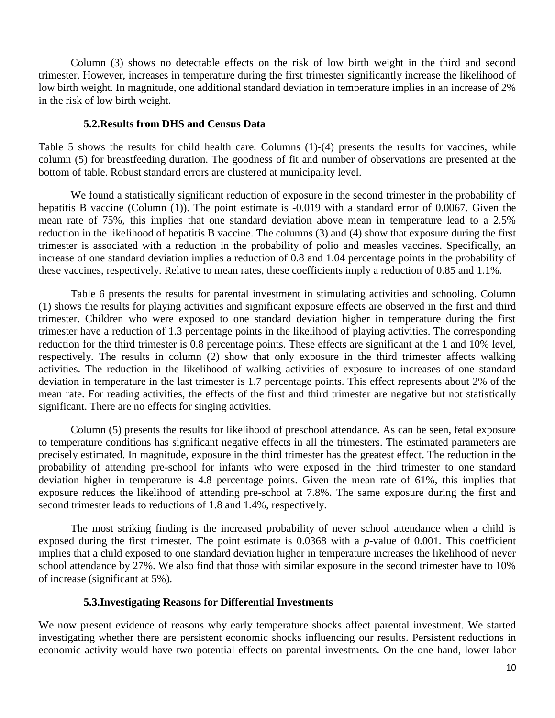Column (3) shows no detectable effects on the risk of low birth weight in the third and second trimester. However, increases in temperature during the first trimester significantly increase the likelihood of low birth weight. In magnitude, one additional standard deviation in temperature implies in an increase of 2% in the risk of low birth weight.

### **5.2.Results from DHS and Census Data**

Table 5 shows the results for child health care. Columns (1)-(4) presents the results for vaccines, while column (5) for breastfeeding duration. The goodness of fit and number of observations are presented at the bottom of table. Robust standard errors are clustered at municipality level.

We found a statistically significant reduction of exposure in the second trimester in the probability of hepatitis B vaccine (Column (1)). The point estimate is -0.019 with a standard error of 0.0067. Given the mean rate of 75%, this implies that one standard deviation above mean in temperature lead to a 2.5% reduction in the likelihood of hepatitis B vaccine. The columns (3) and (4) show that exposure during the first trimester is associated with a reduction in the probability of polio and measles vaccines. Specifically, an increase of one standard deviation implies a reduction of 0.8 and 1.04 percentage points in the probability of these vaccines, respectively. Relative to mean rates, these coefficients imply a reduction of 0.85 and 1.1%.

Table 6 presents the results for parental investment in stimulating activities and schooling. Column (1) shows the results for playing activities and significant exposure effects are observed in the first and third trimester. Children who were exposed to one standard deviation higher in temperature during the first trimester have a reduction of 1.3 percentage points in the likelihood of playing activities. The corresponding reduction for the third trimester is 0.8 percentage points. These effects are significant at the 1 and 10% level, respectively. The results in column (2) show that only exposure in the third trimester affects walking activities. The reduction in the likelihood of walking activities of exposure to increases of one standard deviation in temperature in the last trimester is 1.7 percentage points. This effect represents about 2% of the mean rate. For reading activities, the effects of the first and third trimester are negative but not statistically significant. There are no effects for singing activities.

Column (5) presents the results for likelihood of preschool attendance. As can be seen, fetal exposure to temperature conditions has significant negative effects in all the trimesters. The estimated parameters are precisely estimated. In magnitude, exposure in the third trimester has the greatest effect. The reduction in the probability of attending pre-school for infants who were exposed in the third trimester to one standard deviation higher in temperature is 4.8 percentage points. Given the mean rate of 61%, this implies that exposure reduces the likelihood of attending pre-school at 7.8%. The same exposure during the first and second trimester leads to reductions of 1.8 and 1.4%, respectively.

The most striking finding is the increased probability of never school attendance when a child is exposed during the first trimester. The point estimate is 0.0368 with a *p*-value of 0.001. This coefficient implies that a child exposed to one standard deviation higher in temperature increases the likelihood of never school attendance by 27%. We also find that those with similar exposure in the second trimester have to 10% of increase (significant at 5%).

## **5.3.Investigating Reasons for Differential Investments**

We now present evidence of reasons why early temperature shocks affect parental investment. We started investigating whether there are persistent economic shocks influencing our results. Persistent reductions in economic activity would have two potential effects on parental investments. On the one hand, lower labor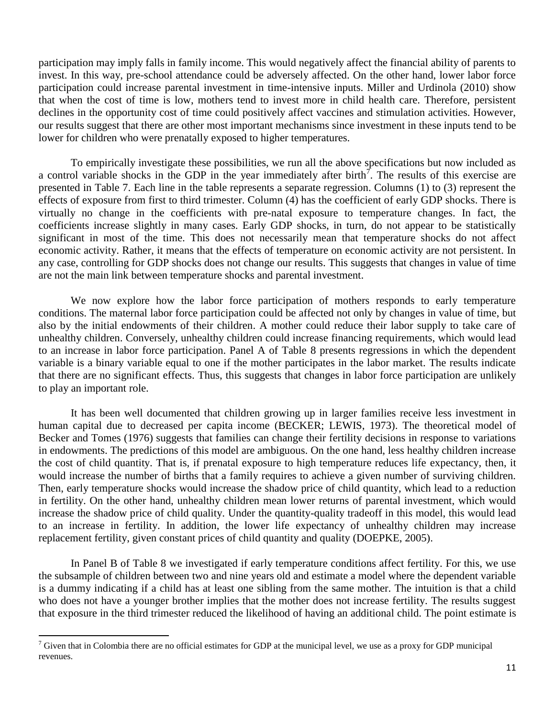participation may imply falls in family income. This would negatively affect the financial ability of parents to invest. In this way, pre-school attendance could be adversely affected. On the other hand, lower labor force participation could increase parental investment in time-intensive inputs. Miller and Urdinola (2010) show that when the cost of time is low, mothers tend to invest more in child health care. Therefore, persistent declines in the opportunity cost of time could positively affect vaccines and stimulation activities. However, our results suggest that there are other most important mechanisms since investment in these inputs tend to be lower for children who were prenatally exposed to higher temperatures.

To empirically investigate these possibilities, we run all the above specifications but now included as a control variable shocks in the GDP in the year immediately after birth<sup>7</sup>. The results of this exercise are presented in Table 7. Each line in the table represents a separate regression. Columns (1) to (3) represent the effects of exposure from first to third trimester. Column (4) has the coefficient of early GDP shocks. There is virtually no change in the coefficients with pre-natal exposure to temperature changes. In fact, the coefficients increase slightly in many cases. Early GDP shocks, in turn, do not appear to be statistically significant in most of the time. This does not necessarily mean that temperature shocks do not affect economic activity. Rather, it means that the effects of temperature on economic activity are not persistent. In any case, controlling for GDP shocks does not change our results. This suggests that changes in value of time are not the main link between temperature shocks and parental investment.

We now explore how the labor force participation of mothers responds to early temperature conditions. The maternal labor force participation could be affected not only by changes in value of time, but also by the initial endowments of their children. A mother could reduce their labor supply to take care of unhealthy children. Conversely, unhealthy children could increase financing requirements, which would lead to an increase in labor force participation. Panel A of Table 8 presents regressions in which the dependent variable is a binary variable equal to one if the mother participates in the labor market. The results indicate that there are no significant effects. Thus, this suggests that changes in labor force participation are unlikely to play an important role.

It has been well documented that children growing up in larger families receive less investment in human capital due to decreased per capita income (BECKER; LEWIS, 1973). The theoretical model of Becker and Tomes (1976) suggests that families can change their fertility decisions in response to variations in endowments. The predictions of this model are ambiguous. On the one hand, less healthy children increase the cost of child quantity. That is, if prenatal exposure to high temperature reduces life expectancy, then, it would increase the number of births that a family requires to achieve a given number of surviving children. Then, early temperature shocks would increase the shadow price of child quantity, which lead to a reduction in fertility. On the other hand, unhealthy children mean lower returns of parental investment, which would increase the shadow price of child quality. Under the quantity-quality tradeoff in this model, this would lead to an increase in fertility. In addition, the lower life expectancy of unhealthy children may increase replacement fertility, given constant prices of child quantity and quality (DOEPKE, 2005).

In Panel B of Table 8 we investigated if early temperature conditions affect fertility. For this, we use the subsample of children between two and nine years old and estimate a model where the dependent variable is a dummy indicating if a child has at least one sibling from the same mother. The intuition is that a child who does not have a younger brother implies that the mother does not increase fertility. The results suggest that exposure in the third trimester reduced the likelihood of having an additional child. The point estimate is

 $\overline{a}$ 

 $7$  Given that in Colombia there are no official estimates for GDP at the municipal level, we use as a proxy for GDP municipal revenues.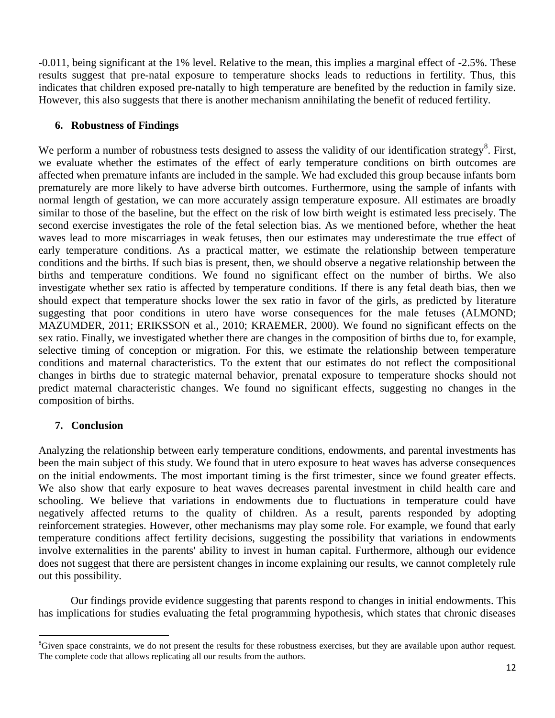-0.011, being significant at the 1% level. Relative to the mean, this implies a marginal effect of -2.5%. These results suggest that pre-natal exposure to temperature shocks leads to reductions in fertility. Thus, this indicates that children exposed pre-natally to high temperature are benefited by the reduction in family size. However, this also suggests that there is another mechanism annihilating the benefit of reduced fertility.

# **6. Robustness of Findings**

We perform a number of robustness tests designed to assess the validity of our identification strategy<sup>8</sup>. First, we evaluate whether the estimates of the effect of early temperature conditions on birth outcomes are affected when premature infants are included in the sample. We had excluded this group because infants born prematurely are more likely to have adverse birth outcomes. Furthermore, using the sample of infants with normal length of gestation, we can more accurately assign temperature exposure. All estimates are broadly similar to those of the baseline, but the effect on the risk of low birth weight is estimated less precisely. The second exercise investigates the role of the fetal selection bias. As we mentioned before, whether the heat waves lead to more miscarriages in weak fetuses, then our estimates may underestimate the true effect of early temperature conditions. As a practical matter, we estimate the relationship between temperature conditions and the births. If such bias is present, then, we should observe a negative relationship between the births and temperature conditions. We found no significant effect on the number of births. We also investigate whether sex ratio is affected by temperature conditions. If there is any fetal death bias, then we should expect that temperature shocks lower the sex ratio in favor of the girls, as predicted by literature suggesting that poor conditions in utero have worse consequences for the male fetuses (ALMOND; MAZUMDER, 2011; ERIKSSON et al., 2010; KRAEMER, 2000). We found no significant effects on the sex ratio. Finally, we investigated whether there are changes in the composition of births due to, for example, selective timing of conception or migration. For this, we estimate the relationship between temperature conditions and maternal characteristics. To the extent that our estimates do not reflect the compositional changes in births due to strategic maternal behavior, prenatal exposure to temperature shocks should not predict maternal characteristic changes. We found no significant effects, suggesting no changes in the composition of births.

# **7. Conclusion**

Analyzing the relationship between early temperature conditions, endowments, and parental investments has been the main subject of this study. We found that in utero exposure to heat waves has adverse consequences on the initial endowments. The most important timing is the first trimester, since we found greater effects. We also show that early exposure to heat waves decreases parental investment in child health care and schooling. We believe that variations in endowments due to fluctuations in temperature could have negatively affected returns to the quality of children. As a result, parents responded by adopting reinforcement strategies. However, other mechanisms may play some role. For example, we found that early temperature conditions affect fertility decisions, suggesting the possibility that variations in endowments involve externalities in the parents' ability to invest in human capital. Furthermore, although our evidence does not suggest that there are persistent changes in income explaining our results, we cannot completely rule out this possibility.

Our findings provide evidence suggesting that parents respond to changes in initial endowments. This has implications for studies evaluating the fetal programming hypothesis, which states that chronic diseases

 $\overline{a}$  ${}^8$ Given space constraints, we do not present the results for these robustness exercises, but they are available upon author request. The complete code that allows replicating all our results from the authors.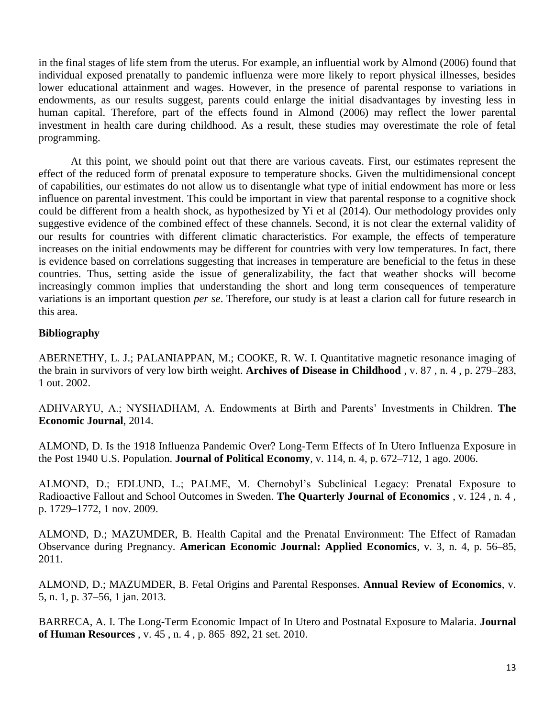in the final stages of life stem from the uterus. For example, an influential work by Almond (2006) found that individual exposed prenatally to pandemic influenza were more likely to report physical illnesses, besides lower educational attainment and wages. However, in the presence of parental response to variations in endowments, as our results suggest, parents could enlarge the initial disadvantages by investing less in human capital. Therefore, part of the effects found in Almond (2006) may reflect the lower parental investment in health care during childhood. As a result, these studies may overestimate the role of fetal programming.

At this point, we should point out that there are various caveats. First, our estimates represent the effect of the reduced form of prenatal exposure to temperature shocks. Given the multidimensional concept of capabilities, our estimates do not allow us to disentangle what type of initial endowment has more or less influence on parental investment. This could be important in view that parental response to a cognitive shock could be different from a health shock, as hypothesized by Yi et al (2014). Our methodology provides only suggestive evidence of the combined effect of these channels. Second, it is not clear the external validity of our results for countries with different climatic characteristics. For example, the effects of temperature increases on the initial endowments may be different for countries with very low temperatures. In fact, there is evidence based on correlations suggesting that increases in temperature are beneficial to the fetus in these countries. Thus, setting aside the issue of generalizability, the fact that weather shocks will become increasingly common implies that understanding the short and long term consequences of temperature variations is an important question *per se*. Therefore, our study is at least a clarion call for future research in this area.

# **Bibliography**

ABERNETHY, L. J.; PALANIAPPAN, M.; COOKE, R. W. I. Quantitative magnetic resonance imaging of the brain in survivors of very low birth weight. **Archives of Disease in Childhood** , v. 87 , n. 4 , p. 279–283, 1 out. 2002.

ADHVARYU, A.; NYSHADHAM, A. Endowments at Birth and Parents' Investments in Children. **The Economic Journal**, 2014.

ALMOND, D. Is the 1918 Influenza Pandemic Over? Long-Term Effects of In Utero Influenza Exposure in the Post 1940 U.S. Population. **Journal of Political Economy**, v. 114, n. 4, p. 672–712, 1 ago. 2006.

ALMOND, D.; EDLUND, L.; PALME, M. Chernobyl's Subclinical Legacy: Prenatal Exposure to Radioactive Fallout and School Outcomes in Sweden. **The Quarterly Journal of Economics** , v. 124 , n. 4 , p. 1729–1772, 1 nov. 2009.

ALMOND, D.; MAZUMDER, B. Health Capital and the Prenatal Environment: The Effect of Ramadan Observance during Pregnancy. **American Economic Journal: Applied Economics**, v. 3, n. 4, p. 56–85, 2011.

ALMOND, D.; MAZUMDER, B. Fetal Origins and Parental Responses. **Annual Review of Economics**, v. 5, n. 1, p. 37–56, 1 jan. 2013.

BARRECA, A. I. The Long-Term Economic Impact of In Utero and Postnatal Exposure to Malaria. **Journal of Human Resources** , v. 45 , n. 4 , p. 865–892, 21 set. 2010.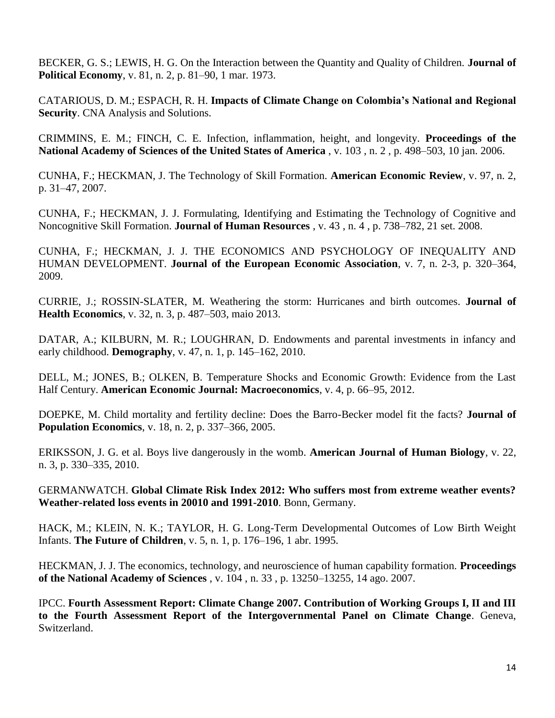BECKER, G. S.; LEWIS, H. G. On the Interaction between the Quantity and Quality of Children. **Journal of Political Economy**, v. 81, n. 2, p. 81–90, 1 mar. 1973.

CATARIOUS, D. M.; ESPACH, R. H. **Impacts of Climate Change on Colombia's National and Regional Security**. CNA Analysis and Solutions.

CRIMMINS, E. M.; FINCH, C. E. Infection, inflammation, height, and longevity. **Proceedings of the National Academy of Sciences of the United States of America** , v. 103 , n. 2 , p. 498–503, 10 jan. 2006.

CUNHA, F.; HECKMAN, J. The Technology of Skill Formation. **American Economic Review**, v. 97, n. 2, p. 31–47, 2007.

CUNHA, F.; HECKMAN, J. J. Formulating, Identifying and Estimating the Technology of Cognitive and Noncognitive Skill Formation. **Journal of Human Resources** , v. 43 , n. 4 , p. 738–782, 21 set. 2008.

CUNHA, F.; HECKMAN, J. J. THE ECONOMICS AND PSYCHOLOGY OF INEQUALITY AND HUMAN DEVELOPMENT. **Journal of the European Economic Association**, v. 7, n. 2-3, p. 320–364, 2009.

CURRIE, J.; ROSSIN-SLATER, M. Weathering the storm: Hurricanes and birth outcomes. **Journal of Health Economics**, v. 32, n. 3, p. 487–503, maio 2013.

DATAR, A.; KILBURN, M. R.; LOUGHRAN, D. Endowments and parental investments in infancy and early childhood. **Demography**, v. 47, n. 1, p. 145–162, 2010.

DELL, M.; JONES, B.; OLKEN, B. Temperature Shocks and Economic Growth: Evidence from the Last Half Century. **American Economic Journal: Macroeconomics**, v. 4, p. 66–95, 2012.

DOEPKE, M. Child mortality and fertility decline: Does the Barro-Becker model fit the facts? **Journal of Population Economics**, v. 18, n. 2, p. 337–366, 2005.

ERIKSSON, J. G. et al. Boys live dangerously in the womb. **American Journal of Human Biology**, v. 22, n. 3, p. 330–335, 2010.

GERMANWATCH. **Global Climate Risk Index 2012: Who suffers most from extreme weather events? Weather-related loss events in 20010 and 1991-2010**. Bonn, Germany.

HACK, M.; KLEIN, N. K.; TAYLOR, H. G. Long-Term Developmental Outcomes of Low Birth Weight Infants. **The Future of Children**, v. 5, n. 1, p. 176–196, 1 abr. 1995.

HECKMAN, J. J. The economics, technology, and neuroscience of human capability formation. **Proceedings of the National Academy of Sciences** , v. 104 , n. 33 , p. 13250–13255, 14 ago. 2007.

IPCC. **Fourth Assessment Report: Climate Change 2007. Contribution of Working Groups I, II and III to the Fourth Assessment Report of the Intergovernmental Panel on Climate Change**. Geneva, Switzerland.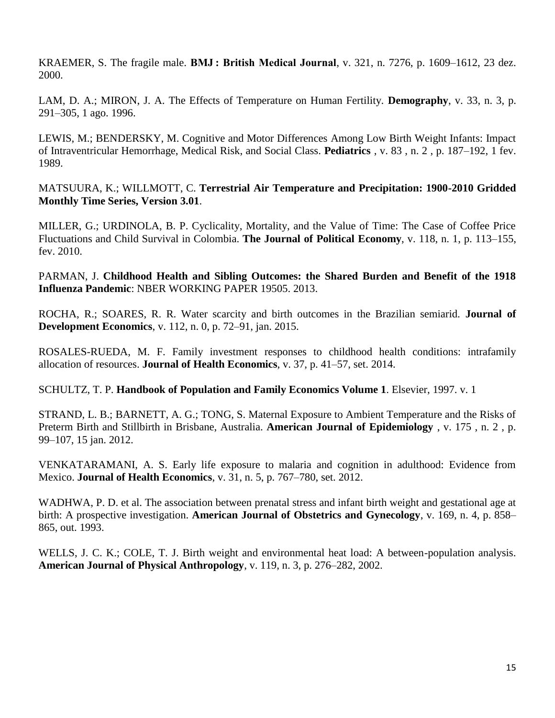KRAEMER, S. The fragile male. **BMJ : British Medical Journal**, v. 321, n. 7276, p. 1609–1612, 23 dez. 2000.

LAM, D. A.; MIRON, J. A. The Effects of Temperature on Human Fertility. **Demography**, v. 33, n. 3, p. 291–305, 1 ago. 1996.

LEWIS, M.; BENDERSKY, M. Cognitive and Motor Differences Among Low Birth Weight Infants: Impact of Intraventricular Hemorrhage, Medical Risk, and Social Class. **Pediatrics** , v. 83 , n. 2 , p. 187–192, 1 fev. 1989.

MATSUURA, K.; WILLMOTT, C. **Terrestrial Air Temperature and Precipitation: 1900-2010 Gridded Monthly Time Series, Version 3.01**.

MILLER, G.; URDINOLA, B. P. Cyclicality, Mortality, and the Value of Time: The Case of Coffee Price Fluctuations and Child Survival in Colombia. **The Journal of Political Economy**, v. 118, n. 1, p. 113–155, fev. 2010.

PARMAN, J. **Childhood Health and Sibling Outcomes: the Shared Burden and Benefit of the 1918 Influenza Pandemic**: NBER WORKING PAPER 19505. 2013.

ROCHA, R.; SOARES, R. R. Water scarcity and birth outcomes in the Brazilian semiarid. **Journal of Development Economics**, v. 112, n. 0, p. 72–91, jan. 2015.

ROSALES-RUEDA, M. F. Family investment responses to childhood health conditions: intrafamily allocation of resources. **Journal of Health Economics**, v. 37, p. 41–57, set. 2014.

SCHULTZ, T. P. **Handbook of Population and Family Economics Volume 1**. Elsevier, 1997. v. 1

STRAND, L. B.; BARNETT, A. G.; TONG, S. Maternal Exposure to Ambient Temperature and the Risks of Preterm Birth and Stillbirth in Brisbane, Australia. **American Journal of Epidemiology** , v. 175 , n. 2 , p. 99–107, 15 jan. 2012.

VENKATARAMANI, A. S. Early life exposure to malaria and cognition in adulthood: Evidence from Mexico. **Journal of Health Economics**, v. 31, n. 5, p. 767–780, set. 2012.

WADHWA, P. D. et al. The association between prenatal stress and infant birth weight and gestational age at birth: A prospective investigation. **American Journal of Obstetrics and Gynecology**, v. 169, n. 4, p. 858– 865, out. 1993.

WELLS, J. C. K.; COLE, T. J. Birth weight and environmental heat load: A between-population analysis. **American Journal of Physical Anthropology**, v. 119, n. 3, p. 276–282, 2002.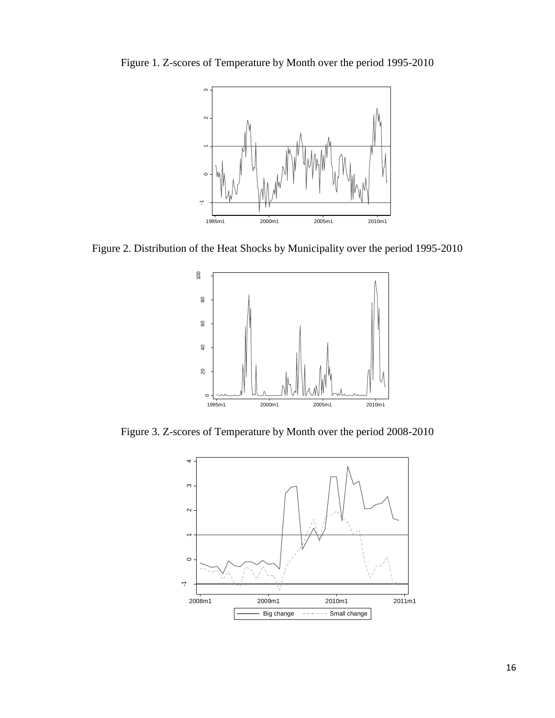

Figure 1. Z-scores of Temperature by Month over the period 1995-2010

Figure 2. Distribution of the Heat Shocks by Municipality over the period 1995-2010



Figure 3. Z-scores of Temperature by Month over the period 2008-2010

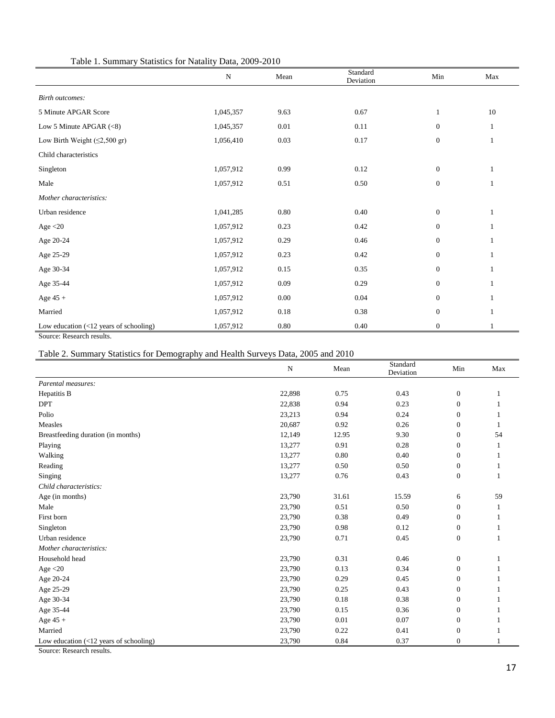| Table 1. Summary Statistics for Natality Data, 2009-2010 |           |      |                       |                  |     |  |  |
|----------------------------------------------------------|-----------|------|-----------------------|------------------|-----|--|--|
|                                                          | ${\bf N}$ | Mean | Standard<br>Deviation | $\rm{Min}$       | Max |  |  |
| <b>Birth outcomes:</b>                                   |           |      |                       |                  |     |  |  |
| 5 Minute APGAR Score                                     | 1,045,357 | 9.63 | 0.67                  | $\mathbf{1}$     | 10  |  |  |
| Low 5 Minute APGAR $(<8)$                                | 1,045,357 | 0.01 | 0.11                  | $\boldsymbol{0}$ | 1   |  |  |
| Low Birth Weight $(\leq2,500 \text{ gr})$                | 1,056,410 | 0.03 | 0.17                  | $\boldsymbol{0}$ | 1   |  |  |
| Child characteristics                                    |           |      |                       |                  |     |  |  |
| Singleton                                                | 1,057,912 | 0.99 | 0.12                  | $\boldsymbol{0}$ | 1   |  |  |
| Male                                                     | 1,057,912 | 0.51 | 0.50                  | $\boldsymbol{0}$ | 1   |  |  |
| Mother characteristics:                                  |           |      |                       |                  |     |  |  |
| Urban residence                                          | 1,041,285 | 0.80 | 0.40                  | $\boldsymbol{0}$ | 1   |  |  |
| Age $<$ 20                                               | 1,057,912 | 0.23 | 0.42                  | $\boldsymbol{0}$ | -1  |  |  |
| Age 20-24                                                | 1,057,912 | 0.29 | 0.46                  | $\boldsymbol{0}$ | 1   |  |  |
| Age 25-29                                                | 1,057,912 | 0.23 | 0.42                  | $\boldsymbol{0}$ | 1   |  |  |
| Age 30-34                                                | 1,057,912 | 0.15 | 0.35                  | $\boldsymbol{0}$ | 1   |  |  |
| Age 35-44                                                | 1,057,912 | 0.09 | 0.29                  | $\boldsymbol{0}$ | 1   |  |  |
| Age $45 +$                                               | 1,057,912 | 0.00 | 0.04                  | $\boldsymbol{0}$ | 1   |  |  |
| Married                                                  | 1,057,912 | 0.18 | 0.38                  | $\boldsymbol{0}$ | 1   |  |  |
| Low education $(\langle 12 \rangle)$ years of schooling) | 1,057,912 | 0.80 | 0.40                  | $\boldsymbol{0}$ |     |  |  |

Source: Research results.

# Table 2. Summary Statistics for Demography and Health Surveys Data, 2005 and 2010

|                                                         | ${\bf N}$ | Mean  | Standard<br>Deviation | Min              | Max |
|---------------------------------------------------------|-----------|-------|-----------------------|------------------|-----|
| Parental measures:                                      |           |       |                       |                  |     |
| Hepatitis B                                             | 22,898    | 0.75  | 0.43                  | $\boldsymbol{0}$ |     |
| <b>DPT</b>                                              | 22,838    | 0.94  | 0.23                  | $\mathbf{0}$     |     |
| Polio                                                   | 23,213    | 0.94  | 0.24                  | $\mathbf{0}$     |     |
| Measles                                                 | 20,687    | 0.92  | 0.26                  | $\mathbf{0}$     |     |
| Breastfeeding duration (in months)                      | 12,149    | 12.95 | 9.30                  | $\mathbf{0}$     | 54  |
| Playing                                                 | 13,277    | 0.91  | 0.28                  | $\mathbf{0}$     |     |
| Walking                                                 | 13,277    | 0.80  | 0.40                  | $\boldsymbol{0}$ |     |
| Reading                                                 | 13,277    | 0.50  | 0.50                  | $\boldsymbol{0}$ |     |
| Singing                                                 | 13,277    | 0.76  | 0.43                  | $\boldsymbol{0}$ |     |
| Child characteristics:                                  |           |       |                       |                  |     |
| Age (in months)                                         | 23,790    | 31.61 | 15.59                 | 6                | 59  |
| Male                                                    | 23,790    | 0.51  | 0.50                  | $\boldsymbol{0}$ |     |
| First born                                              | 23,790    | 0.38  | 0.49                  | $\boldsymbol{0}$ |     |
| Singleton                                               | 23,790    | 0.98  | 0.12                  | $\mathbf{0}$     |     |
| Urban residence                                         | 23,790    | 0.71  | 0.45                  | $\boldsymbol{0}$ |     |
| Mother characteristics:                                 |           |       |                       |                  |     |
| Household head                                          | 23,790    | 0.31  | 0.46                  | $\boldsymbol{0}$ |     |
| Age $<$ 20                                              | 23,790    | 0.13  | 0.34                  | $\boldsymbol{0}$ |     |
| Age 20-24                                               | 23,790    | 0.29  | 0.45                  | $\boldsymbol{0}$ |     |
| Age 25-29                                               | 23,790    | 0.25  | 0.43                  | $\mathbf{0}$     |     |
| Age 30-34                                               | 23,790    | 0.18  | 0.38                  | $\mathbf{0}$     |     |
| Age 35-44                                               | 23,790    | 0.15  | 0.36                  | $\mathbf{0}$     |     |
| Age 45 $\pm$                                            | 23,790    | 0.01  | 0.07                  | $\mathbf{0}$     |     |
| Married                                                 | 23,790    | 0.22  | 0.41                  | $\mathbf{0}$     |     |
| Low education $\left( < 12 \right)$ years of schooling) | 23,790    | 0.84  | 0.37                  | $\boldsymbol{0}$ |     |

Source: Research results.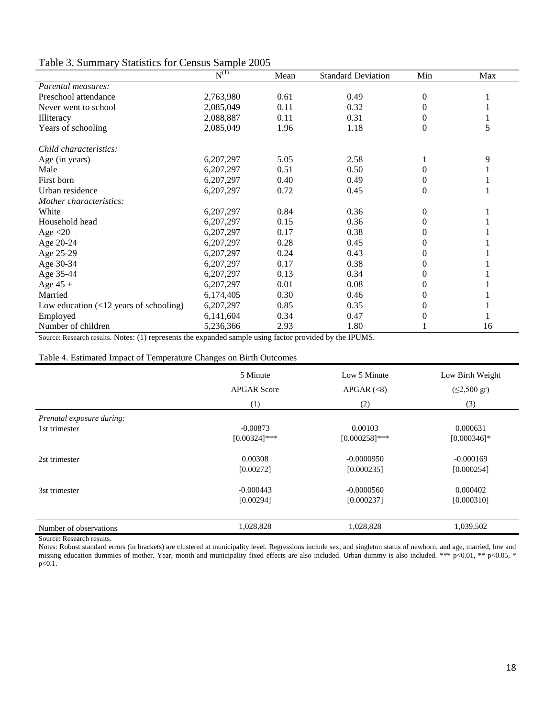| Table 3. Summary Statistics for Census Sample 2005 |
|----------------------------------------------------|
|----------------------------------------------------|

|                                                         | $N^{(1)}$ | Mean | <b>Standard Deviation</b> | Min      | Max |
|---------------------------------------------------------|-----------|------|---------------------------|----------|-----|
| Parental measures:                                      |           |      |                           |          |     |
| Preschool attendance                                    | 2,763,980 | 0.61 | 0.49                      | $\theta$ |     |
| Never went to school                                    | 2,085,049 | 0.11 | 0.32                      | 0        |     |
| Illiteracy                                              | 2,088,887 | 0.11 | 0.31                      | 0        |     |
| Years of schooling                                      | 2,085,049 | 1.96 | 1.18                      | $\Omega$ | 5   |
| Child characteristics:                                  |           |      |                           |          |     |
| Age (in years)                                          | 6,207,297 | 5.05 | 2.58                      |          | 9   |
| Male                                                    | 6,207,297 | 0.51 | 0.50                      | 0        |     |
| First born                                              | 6,207,297 | 0.40 | 0.49                      | 0        |     |
| Urban residence                                         | 6,207,297 | 0.72 | 0.45                      | 0        |     |
| Mother characteristics:                                 |           |      |                           |          |     |
| White                                                   | 6,207,297 | 0.84 | 0.36                      | 0        |     |
| Household head                                          | 6,207,297 | 0.15 | 0.36                      | 0        |     |
| Age $<$ 20                                              | 6,207,297 | 0.17 | 0.38                      |          |     |
| Age 20-24                                               | 6,207,297 | 0.28 | 0.45                      | 0        |     |
| Age 25-29                                               | 6,207,297 | 0.24 | 0.43                      |          |     |
| Age 30-34                                               | 6,207,297 | 0.17 | 0.38                      | 0        |     |
| Age 35-44                                               | 6,207,297 | 0.13 | 0.34                      | 0        |     |
| Age $45 +$                                              | 6,207,297 | 0.01 | 0.08                      | 0        |     |
| Married                                                 | 6,174,405 | 0.30 | 0.46                      | 0        |     |
| Low education $\left( < 12 \right)$ years of schooling) | 6,207,297 | 0.85 | 0.35                      | 0        |     |
| Employed                                                | 6,141,604 | 0.34 | 0.47                      |          |     |
| Number of children                                      | 5,236,366 | 2.93 | 1.80                      |          | 16  |

Source: Research results. Notes: (1) represents the expanded sample using factor provided by the IPUMS.

### Table 4. Estimated Impact of Temperature Changes on Birth Outcomes

|                           | 5 Minute           | Low 5 Minute     | Low Birth Weight          |
|---------------------------|--------------------|------------------|---------------------------|
|                           | <b>APGAR Score</b> | APGAR $(\leq 8)$ | $(\leq 2,500 \text{ gr})$ |
|                           | (1)                | (2)              | (3)                       |
| Prenatal exposure during: |                    |                  |                           |
| 1st trimester             | $-0.00873$         | 0.00103          | 0.000631                  |
|                           | $[0.00324]$ ***    | $[0.000258]$ *** | $[0.000346]$ *            |
| 2st trimester             | 0.00308            | $-0.0000950$     | $-0.000169$               |
|                           | [0.00272]          | [0.000235]       | [0.000254]                |
| 3st trimester             | $-0.000443$        | $-0.0000560$     | 0.000402                  |
|                           | [0.00294]          | [0.000237]       | [0.000310]                |
|                           |                    |                  |                           |
| Number of observations    | 1,028,828          | 1,028,828        | 1,039,502                 |

Source: Research results.

Notes: Robust standard errors (in brackets) are clustered at municipality level. Regressions include sex, and singleton status of newborn, and age, married, low and missing education dummies of mother. Year, month and municipality fixed effects are also included. Urban dummy is also included. \*\*\* p<0.01, \*\* p<0.05, \*  $p < 0.1$ .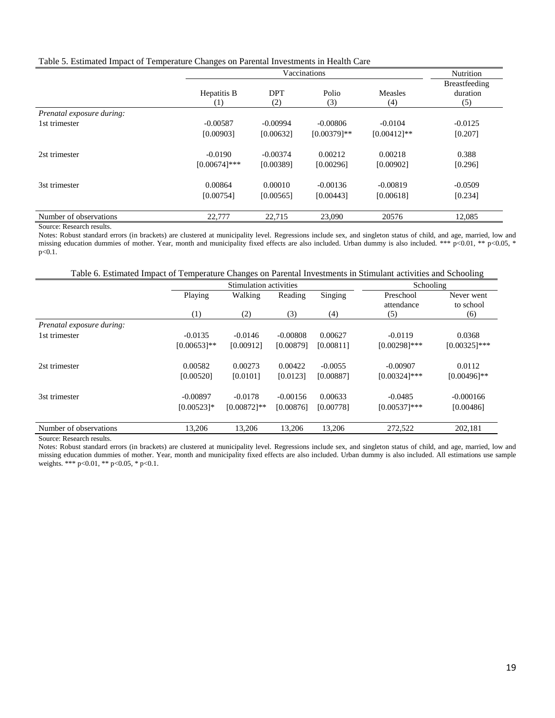|  |  | Table 5. Estimated Impact of Temperature Changes on Parental Investments in Health Care |
|--|--|-----------------------------------------------------------------------------------------|
|  |  |                                                                                         |

|                           |                    | Vaccinations      |                |                       |                                  |  |  |
|---------------------------|--------------------|-------------------|----------------|-----------------------|----------------------------------|--|--|
|                           | Hepatitis B<br>(1) | <b>DPT</b><br>(2) | Polio<br>(3)   | <b>Measles</b><br>(4) | Breastfeeding<br>duration<br>(5) |  |  |
| Prenatal exposure during: |                    |                   |                |                       |                                  |  |  |
| 1st trimester             | $-0.00587$         | $-0.00994$        | $-0.00806$     | $-0.0104$             | $-0.0125$                        |  |  |
|                           | [0.00903]          | [0.00632]         | $[0.00379]$ ** | $[0.00412]$ **        | [0.207]                          |  |  |
| 2st trimester             | $-0.0190$          | $-0.00374$        | 0.00212        | 0.00218               | 0.388                            |  |  |
|                           | $[0.00674]$ ***    | [0.00389]         | [0.00296]      | [0.00902]             | [0.296]                          |  |  |
| 3st trimester             | 0.00864            | 0.00010           | $-0.00136$     | $-0.00819$            | $-0.0509$                        |  |  |
|                           | [0.00754]          | [0.00565]         | [0.00443]      | [0.00618]             | [0.234]                          |  |  |
| Number of observations    | 22,777             | 22,715            | 23,090         | 20576                 | 12,085                           |  |  |

Source: Research results.

Notes: Robust standard errors (in brackets) are clustered at municipality level. Regressions include sex, and singleton status of child, and age, married, low and missing education dummies of mother. Year, month and municipality fixed effects are also included. Urban dummy is also included. \*\*\* p<0.01, \*\* p<0.05, \*  $p < 0.1$ .

|  |  |  | Table 6. Estimated Impact of Temperature Changes on Parental Investments in Stimulant activities and Schooling |  |  |
|--|--|--|----------------------------------------------------------------------------------------------------------------|--|--|
|  |  |  |                                                                                                                |  |  |

|                           |                | Stimulation activities |            |           | Schooling               |                         |
|---------------------------|----------------|------------------------|------------|-----------|-------------------------|-------------------------|
|                           | Playing        | Walking                | Reading    | Singing   | Preschool<br>attendance | Never went<br>to school |
|                           | (1)            | (2)                    | (3)        | (4)       | (5)                     | (6)                     |
| Prenatal exposure during: |                |                        |            |           |                         |                         |
| 1st trimester             | $-0.0135$      | $-0.0146$              | $-0.00808$ | 0.00627   | $-0.0119$               | 0.0368                  |
|                           | $[0.00653]$ ** | [0.00912]              | [0.00879]  | [0.00811] | $[0.00298]$ ***         | $[0.00325]***$          |
| 2st trimester             | 0.00582        | 0.00273                | 0.00422    | $-0.0055$ | $-0.00907$              | 0.0112                  |
|                           | [0.00520]      | [0.0101]               | [0.0123]   | [0.00887] | $[0.00324]$ ***         | $[0.00496]$ **          |
| 3st trimester             | $-0.00897$     | $-0.0178$              | $-0.00156$ | 0.00633   | $-0.0485$               | $-0.000166$             |
|                           | $[0.00523]$ *  | $[0.00872]$ **         | [0.00876]  | [0.00778] | $[0.00537]$ ***         | [0.00486]               |
| Number of observations    | 13,206         | 13,206                 | 13,206     | 13,206    | 272,522                 | 202,181                 |

Source: Research results.

Notes: Robust standard errors (in brackets) are clustered at municipality level. Regressions include sex, and singleton status of child, and age, married, low and missing education dummies of mother. Year, month and municipality fixed effects are also included. Urban dummy is also included. All estimations use sample weights. \*\*\* p<0.01, \*\* p<0.05, \* p<0.1.